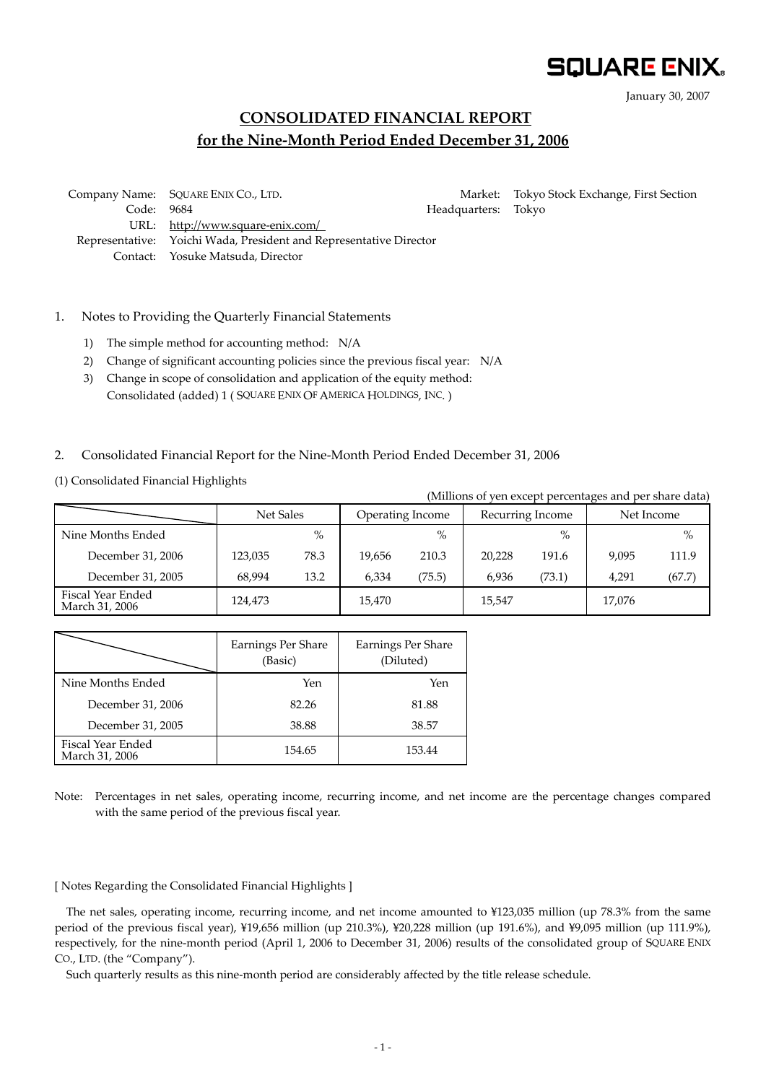# **SQUARE ENIX.**

January 30, 2007

# **CONSOLIDATED FINANCIAL REPORT for the Nine-Month Period Ended December 31, 2006**

 Company Name: SQUARE ENIX CO., LTD. Market: Tokyo Stock Exchange, First Section Code: 9684 **Headquarters: Tokyo**  URL: http://www.square-enix.com/ Representative: Yoichi Wada, President and Representative Director Contact: Yosuke Matsuda, Director

# 1. Notes to Providing the Quarterly Financial Statements

- 1) The simple method for accounting method: N/A
- 2) Change of significant accounting policies since the previous fiscal year: N/A
- 3) Change in scope of consolidation and application of the equity method: Consolidated (added) 1 ( SQUARE ENIX OF AMERICA HOLDINGS, INC. )

#### 2. Consolidated Financial Report for the Nine-Month Period Ended December 31, 2006

(1) Consolidated Financial Highlights

| (Millions of yen except percentages and per share data) |           |      |                  |        |                  |        |            |        |  |
|---------------------------------------------------------|-----------|------|------------------|--------|------------------|--------|------------|--------|--|
|                                                         | Net Sales |      | Operating Income |        | Recurring Income |        | Net Income |        |  |
| Nine Months Ended                                       |           | $\%$ |                  | $\%$   |                  | $\%$   |            | $\%$   |  |
| December 31, 2006                                       | 123,035   | 78.3 | 19.656           | 210.3  | 20.228           | 191.6  | 9,095      | 111.9  |  |
| December 31, 2005                                       | 68.994    | 13.2 | 6.334            | (75.5) | 6.936            | (73.1) | 4.291      | (67.7) |  |
| Fiscal Year Ended<br>March 31, 2006                     | 124,473   |      | 15,470           |        | 15,547           |        | 17,076     |        |  |

|                                     | Earnings Per Share<br>(Basic) | Earnings Per Share<br>(Diluted) |  |  |
|-------------------------------------|-------------------------------|---------------------------------|--|--|
| Nine Months Ended                   | Yen                           | Yen                             |  |  |
| December 31, 2006                   | 82.26                         | 81.88                           |  |  |
| December 31, 2005                   | 38.88                         | 38.57                           |  |  |
| Fiscal Year Ended<br>March 31, 2006 | 154.65                        | 153.44                          |  |  |

Note: Percentages in net sales, operating income, recurring income, and net income are the percentage changes compared with the same period of the previous fiscal year.

[ Notes Regarding the Consolidated Financial Highlights ]

The net sales, operating income, recurring income, and net income amounted to ¥123,035 million (up 78.3% from the same period of the previous fiscal year), ¥19,656 million (up 210.3%), ¥20,228 million (up 191.6%), and ¥9,095 million (up 111.9%), respectively, for the nine-month period (April 1, 2006 to December 31, 2006) results of the consolidated group of SQUARE ENIX CO., LTD. (the "Company").

Such quarterly results as this nine-month period are considerably affected by the title release schedule.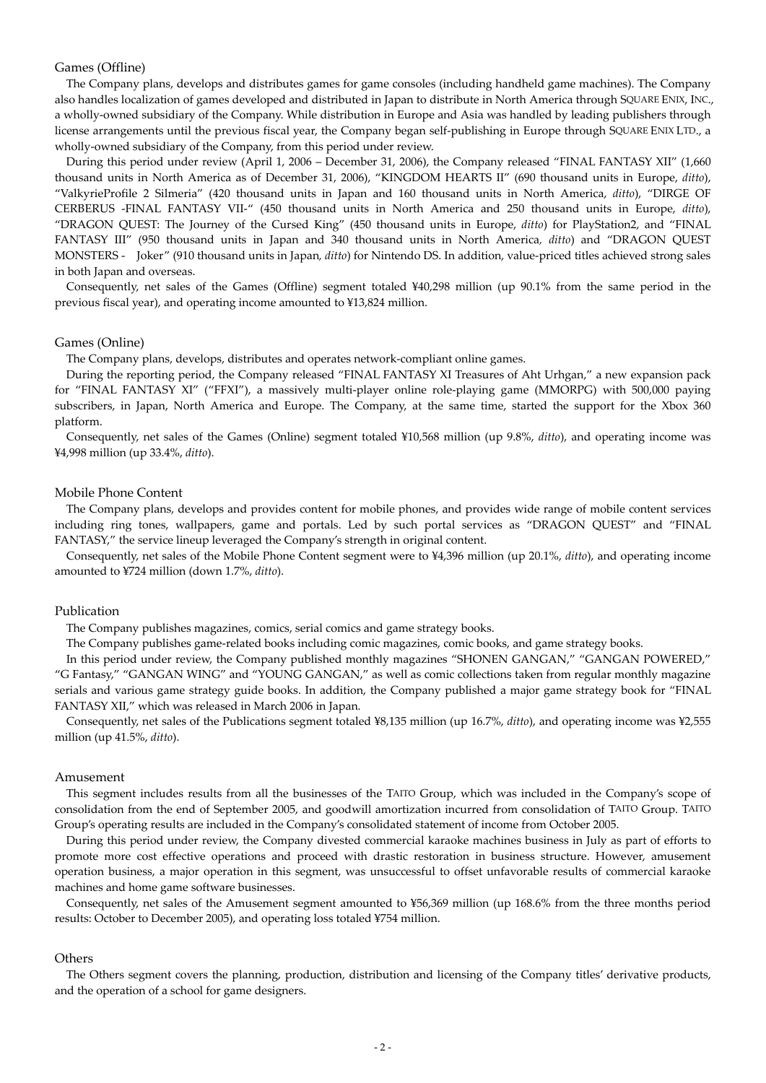#### Games (Offline)

The Company plans, develops and distributes games for game consoles (including handheld game machines). The Company also handles localization of games developed and distributed in Japan to distribute in North America through SQUARE ENIX, INC., a wholly-owned subsidiary of the Company. While distribution in Europe and Asia was handled by leading publishers through license arrangements until the previous fiscal year, the Company began self-publishing in Europe through SQUARE ENIX LTD., a wholly-owned subsidiary of the Company, from this period under review.

During this period under review (April 1, 2006 – December 31, 2006), the Company released "FINAL FANTASY XII" (1,660 thousand units in North America as of December 31, 2006), "KINGDOM HEARTS II" (690 thousand units in Europe, *ditto*), "ValkyrieProfile 2 Silmeria" (420 thousand units in Japan and 160 thousand units in North America, *ditto*), "DIRGE OF CERBERUS -FINAL FANTASY VII-" (450 thousand units in North America and 250 thousand units in Europe, *ditto*), "DRAGON QUEST: The Journey of the Cursed King" (450 thousand units in Europe, *ditto*) for PlayStation2, and "FINAL FANTASY III" (950 thousand units in Japan and 340 thousand units in North America*, ditto*) and "DRAGON QUEST MONSTERS - Joker" (910 thousand units in Japan*, ditto*) for Nintendo DS. In addition, value-priced titles achieved strong sales in both Japan and overseas.

Consequently, net sales of the Games (Offline) segment totaled ¥40,298 million (up 90.1% from the same period in the previous fiscal year), and operating income amounted to ¥13,824 million.

#### Games (Online)

The Company plans, develops, distributes and operates network-compliant online games.

During the reporting period, the Company released "FINAL FANTASY XI Treasures of Aht Urhgan," a new expansion pack for "FINAL FANTASY XI" ("FFXI"), a massively multi-player online role-playing game (MMORPG) with 500,000 paying subscribers, in Japan, North America and Europe. The Company, at the same time, started the support for the Xbox 360 platform.

Consequently, net sales of the Games (Online) segment totaled ¥10,568 million (up 9.8%, *ditto*), and operating income was ¥4,998 million (up 33.4%, *ditto*).

#### Mobile Phone Content

The Company plans, develops and provides content for mobile phones, and provides wide range of mobile content services including ring tones, wallpapers, game and portals. Led by such portal services as "DRAGON QUEST" and "FINAL FANTASY," the service lineup leveraged the Company's strength in original content.

Consequently, net sales of the Mobile Phone Content segment were to ¥4,396 million (up 20.1%, *ditto*), and operating income amounted to ¥724 million (down 1.7%, *ditto*).

#### Publication

The Company publishes magazines, comics, serial comics and game strategy books.

The Company publishes game-related books including comic magazines, comic books, and game strategy books.

In this period under review, the Company published monthly magazines "SHONEN GANGAN," "GANGAN POWERED," "G Fantasy," "GANGAN WING" and "YOUNG GANGAN," as well as comic collections taken from regular monthly magazine serials and various game strategy guide books. In addition, the Company published a major game strategy book for "FINAL FANTASY XII," which was released in March 2006 in Japan.

Consequently, net sales of the Publications segment totaled ¥8,135 million (up 16.7%, *ditto*), and operating income was ¥2,555 million (up 41.5%, *ditto*).

#### Amusement

This segment includes results from all the businesses of the TAITO Group, which was included in the Company's scope of consolidation from the end of September 2005, and goodwill amortization incurred from consolidation of TAITO Group. TAITO Group's operating results are included in the Company's consolidated statement of income from October 2005.

During this period under review, the Company divested commercial karaoke machines business in July as part of efforts to promote more cost effective operations and proceed with drastic restoration in business structure. However, amusement operation business, a major operation in this segment, was unsuccessful to offset unfavorable results of commercial karaoke machines and home game software businesses.

Consequently, net sales of the Amusement segment amounted to ¥56,369 million (up 168.6% from the three months period results: October to December 2005), and operating loss totaled ¥754 million.

#### **Others**

The Others segment covers the planning, production, distribution and licensing of the Company titles' derivative products, and the operation of a school for game designers.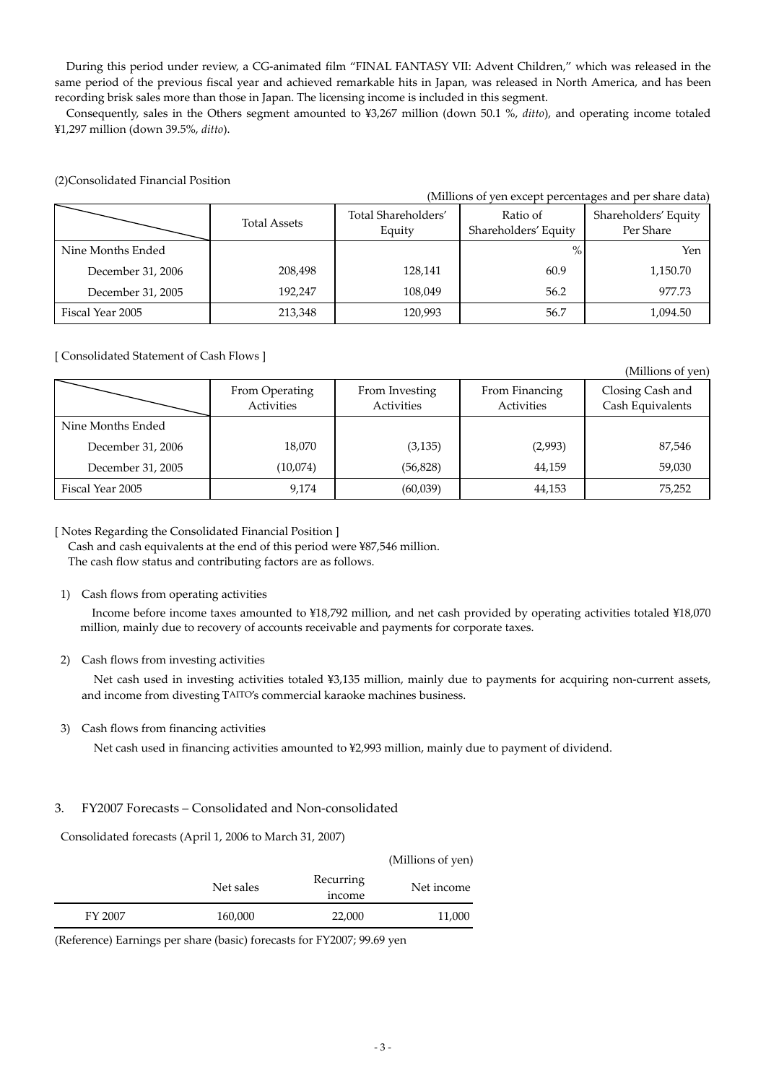During this period under review, a CG-animated film "FINAL FANTASY VII: Advent Children," which was released in the same period of the previous fiscal year and achieved remarkable hits in Japan, was released in North America, and has been recording brisk sales more than those in Japan. The licensing income is included in this segment.

Consequently, sales in the Others segment amounted to ¥3,267 million (down 50.1 %, *ditto*), and operating income totaled ¥1,297 million (down 39.5%, *ditto*).

| (Millions of yen except percentages and per share data) |                     |                               |                                  |                                   |  |  |  |  |
|---------------------------------------------------------|---------------------|-------------------------------|----------------------------------|-----------------------------------|--|--|--|--|
|                                                         | <b>Total Assets</b> | Total Shareholders'<br>Equity | Ratio of<br>Shareholders' Equity | Shareholders' Equity<br>Per Share |  |  |  |  |
| Nine Months Ended                                       |                     |                               | $\%$                             | Yen                               |  |  |  |  |
| December 31, 2006                                       | 208,498             | 128,141                       | 60.9                             | 1,150.70                          |  |  |  |  |
| December 31, 2005                                       | 192.247             | 108,049                       | 56.2                             | 977.73                            |  |  |  |  |
| Fiscal Year 2005                                        | 213,348             | 120,993                       | 56.7                             | 1,094.50                          |  |  |  |  |

#### (2)Consolidated Financial Position

# [ Consolidated Statement of Cash Flows ]

|                   | From Operating<br>Activities | From Investing<br>Activities | From Financing<br>Activities | Closing Cash and<br>Cash Equivalents |  |
|-------------------|------------------------------|------------------------------|------------------------------|--------------------------------------|--|
| Nine Months Ended |                              |                              |                              |                                      |  |
| December 31, 2006 | 18,070                       | (3, 135)                     | (2,993)                      | 87,546                               |  |
| December 31, 2005 | (10,074)                     | (56, 828)                    | 44,159                       | 59,030                               |  |
| Fiscal Year 2005  | 9,174                        | (60,039)                     | 44,153                       | 75,252                               |  |

# [ Notes Regarding the Consolidated Financial Position ]

 Cash and cash equivalents at the end of this period were ¥87,546 million. The cash flow status and contributing factors are as follows.

# 1) Cash flows from operating activities

Income before income taxes amounted to ¥18,792 million, and net cash provided by operating activities totaled ¥18,070 million, mainly due to recovery of accounts receivable and payments for corporate taxes.

# 2) Cash flows from investing activities

Net cash used in investing activities totaled ¥3,135 million, mainly due to payments for acquiring non-current assets, and income from divesting TAITO's commercial karaoke machines business.

# 3) Cash flows from financing activities

Net cash used in financing activities amounted to ¥2,993 million, mainly due to payment of dividend.

# 3. FY2007 Forecasts – Consolidated and Non-consolidated

Consolidated forecasts (April 1, 2006 to March 31, 2007)

| Recurring<br>Net sales<br>income | Net income |
|----------------------------------|------------|
| FY 2007<br>22,000<br>160,000     | 11,000     |

(Reference) Earnings per share (basic) forecasts for FY2007; 99.69 yen

(Millions of yen)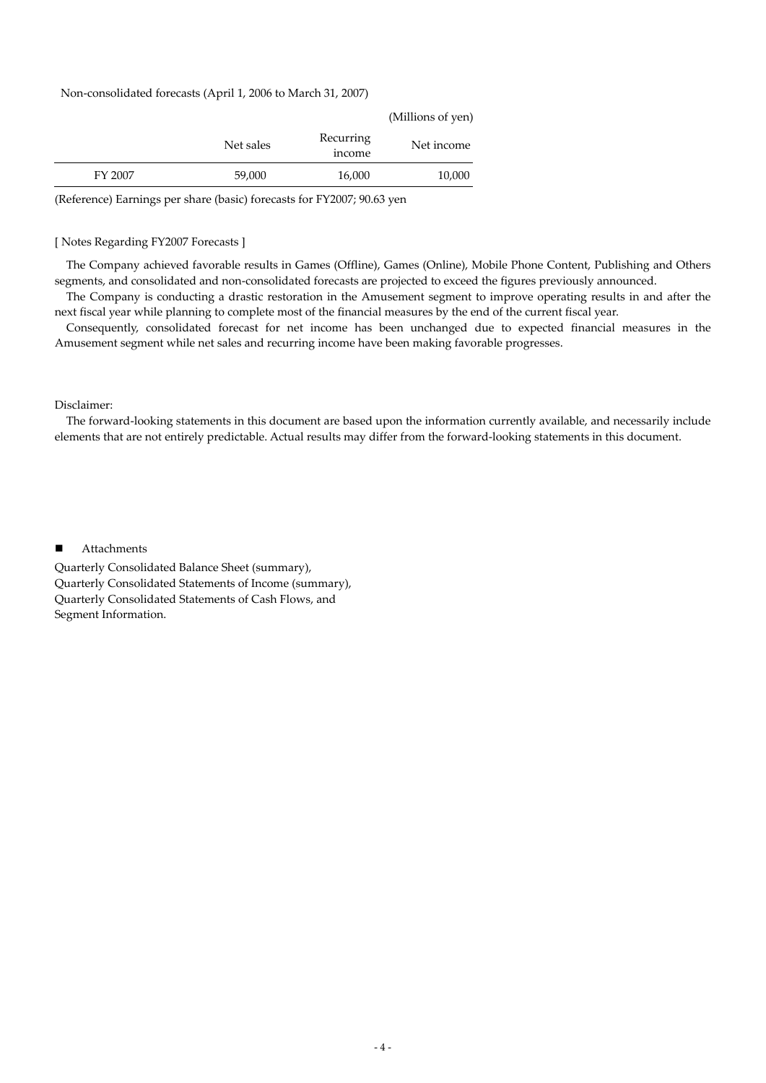#### Non-consolidated forecasts (April 1, 2006 to March 31, 2007)

| (Millions of yen) |                     |           |         |
|-------------------|---------------------|-----------|---------|
| Net income        | Recurring<br>income | Net sales |         |
| 10,000            | 16,000              | 59,000    | FY 2007 |
|                   |                     |           |         |

(Reference) Earnings per share (basic) forecasts for FY2007; 90.63 yen

#### [ Notes Regarding FY2007 Forecasts ]

The Company achieved favorable results in Games (Offline), Games (Online), Mobile Phone Content, Publishing and Others segments, and consolidated and non-consolidated forecasts are projected to exceed the figures previously announced.

The Company is conducting a drastic restoration in the Amusement segment to improve operating results in and after the next fiscal year while planning to complete most of the financial measures by the end of the current fiscal year.

Consequently, consolidated forecast for net income has been unchanged due to expected financial measures in the Amusement segment while net sales and recurring income have been making favorable progresses.

#### Disclaimer:

The forward-looking statements in this document are based upon the information currently available, and necessarily include elements that are not entirely predictable. Actual results may differ from the forward-looking statements in this document.

#### ■ Attachments

Quarterly Consolidated Balance Sheet (summary), Quarterly Consolidated Statements of Income (summary), Quarterly Consolidated Statements of Cash Flows, and Segment Information.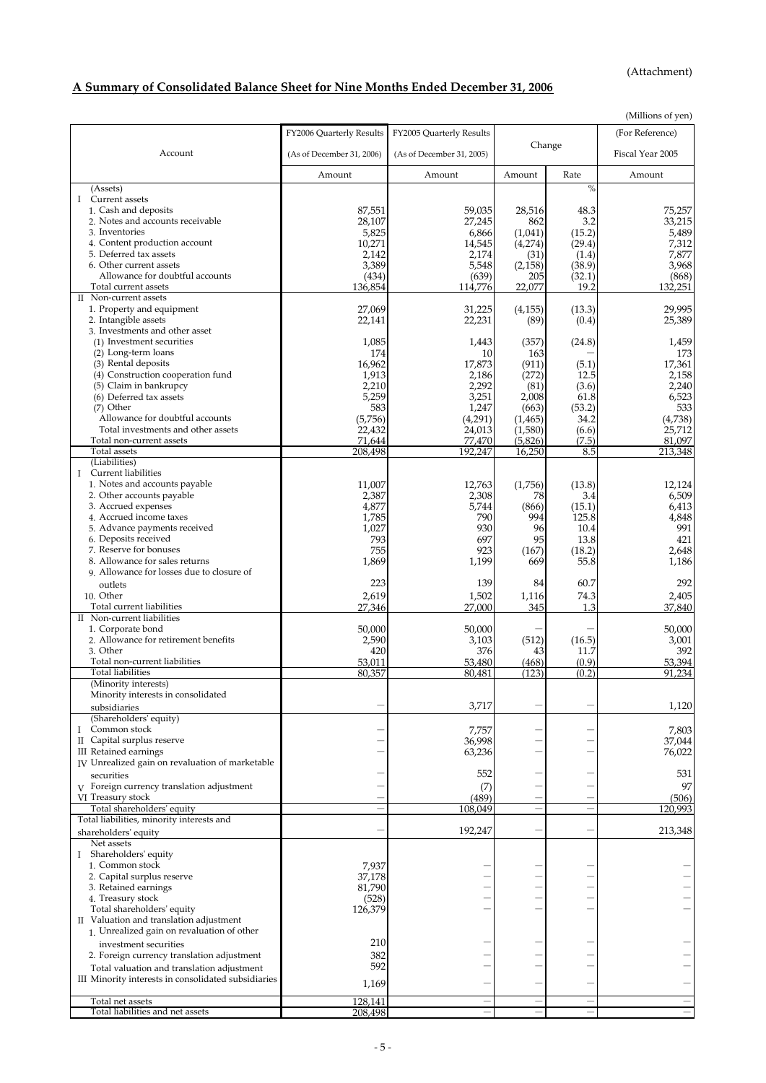(Attachment)

# **A Summary of Consolidated Balance Sheet for Nine Months Ended December 31, 2006**

|                                                                |                           |                           |                          |                          | (Millions of yen) |
|----------------------------------------------------------------|---------------------------|---------------------------|--------------------------|--------------------------|-------------------|
|                                                                | FY2006 Quarterly Results  | FY2005 Quarterly Results  |                          |                          | (For Reference)   |
|                                                                |                           |                           | Change                   |                          |                   |
| Account                                                        | (As of December 31, 2006) | (As of December 31, 2005) |                          |                          | Fiscal Year 2005  |
|                                                                | Amount                    | Amount                    | Amount                   | Rate                     | Amount            |
|                                                                |                           |                           |                          |                          |                   |
| (Assets)                                                       |                           |                           |                          | $\%$                     |                   |
| I Current assets                                               |                           |                           |                          |                          |                   |
| 1. Cash and deposits<br>2. Notes and accounts receivable       | 87,551                    | 59,035                    | 28,516                   | 48.3                     | 75,257<br>33,215  |
| 3. Inventories                                                 | 28,107                    | 27,245                    | 862                      | 3.2                      |                   |
| 4. Content production account                                  | 5,825                     | 6,866                     | (1,041)                  | (15.2)                   | 5,489             |
| 5. Deferred tax assets                                         | 10,271                    | 14,545                    | (4,274)                  | (29.4)                   | 7,312<br>7,877    |
| 6. Other current assets                                        | 2,142                     | 2,174                     | (31)                     | (1.4)                    |                   |
| Allowance for doubtful accounts                                | 3,389                     | 5,548                     | (2, 158)                 | (38.9)                   | 3,968             |
| Total current assets                                           | (434)<br>136,854          | (639)                     | 205<br>22.077            | (32.1)<br>19.2           | (868)<br>132,251  |
| II Non-current assets                                          |                           | 114,776                   |                          |                          |                   |
| 1. Property and equipment                                      | 27,069                    | 31,225                    |                          | (13.3)                   | 29,995            |
| 2. Intangible assets                                           | 22,141                    | 22,231                    | (4,155)<br>(89)          | (0.4)                    | 25,389            |
| 3. Investments and other asset                                 |                           |                           |                          |                          |                   |
| (1) Investment securities                                      | 1,085                     | 1,443                     | (357)                    | (24.8)                   | 1,459             |
| (2) Long-term loans                                            | 174                       | 10                        | 163                      |                          | 173               |
| (3) Rental deposits                                            | 16,962                    | 17,873                    | (911)                    | (5.1)                    | 17,361            |
| (4) Construction cooperation fund                              | 1,913                     | 2,186                     | (272)                    | 12.5                     | 2,158             |
| (5) Claim in bankrupcy                                         | 2,210                     | 2,292                     | (81)                     | (3.6)                    | 2,240             |
| (6) Deferred tax assets                                        | 5,259                     | 3,251                     | 2,008                    | 61.8                     | 6,523             |
| $(7)$ Other                                                    | 583                       | 1,247                     | (663)                    | (53.2)                   | 533               |
| Allowance for doubtful accounts                                | (5,756)                   | (4,291)                   | (1, 465)                 | 34.2                     | (4,738)           |
| Total investments and other assets                             | 22,432                    | 24,013                    | (1,580)                  | (6.6)                    | 25,712            |
| Total non-current assets                                       | 71,644                    | 77.470                    | (5,826)                  | (7.5)                    | 81,097            |
| Total assets                                                   | 208,498                   | 192,247                   | 16,250                   | 8.5                      | 213,348           |
| (Liabilities)                                                  |                           |                           |                          |                          |                   |
| I Current liabilities                                          |                           |                           |                          |                          |                   |
| 1. Notes and accounts payable                                  | 11,007                    | 12,763                    | (1,756)                  | (13.8)                   | 12,124            |
| 2. Other accounts payable                                      | 2,387                     | 2,308                     | 78                       | 3.4                      | 6,509             |
| 3. Accrued expenses                                            | 4,877                     | 5,744                     | (866)                    | (15.1)                   | 6,413             |
| 4. Accrued income taxes                                        | 1,785                     | 790                       | 994                      | 125.8                    | 4,848             |
| 5. Advance payments received                                   | 1,027                     | 930                       | 96                       | 10.4                     | 991               |
| 6. Deposits received                                           | 793                       | 697                       | 95                       | 13.8                     | 421               |
| 7. Reserve for bonuses                                         | 755                       | 923                       | (167)                    | (18.2)                   | 2,648             |
| 8. Allowance for sales returns                                 | 1,869                     | 1,199                     | 669                      | 55.8                     | 1,186             |
| 9. Allowance for losses due to closure of                      |                           |                           |                          |                          |                   |
| outlets                                                        | 223                       | 139                       | 84                       | 60.7                     | 292               |
| 10. Other                                                      | 2,619                     | 1,502                     | 1,116                    | 74.3                     | 2,405             |
| Total current liabilities                                      | 27,346                    | 27,000                    | 345                      | 1.3                      | 37,840            |
| II Non-current liabilities                                     |                           |                           |                          |                          |                   |
| 1. Corporate bond                                              | 50,000                    | 50,000                    |                          |                          | 50,000            |
| 2. Allowance for retirement benefits                           | 2,590                     | 3,103                     | (512)                    | (16.5)                   | 3,001             |
| 3. Other                                                       | 420                       | 376                       | 43                       | 11.7                     | 392               |
| Total non-current liabilities                                  | 53,011                    | 53,480                    | (468)                    | (0.9)                    | 53,394            |
| Total liabilities                                              | 80,357                    | 80,481                    | (123)                    | (0.2)                    | 91,234            |
| (Minority interests)                                           |                           |                           |                          |                          |                   |
| Minority interests in consolidated                             |                           |                           |                          |                          |                   |
| subsidiaries                                                   |                           | 3,717                     |                          |                          | 1,120             |
| (Shareholders' equity)                                         |                           |                           |                          |                          |                   |
| I Common stock                                                 |                           | 7,757                     |                          |                          | 7,803             |
| II Capital surplus reserve                                     |                           | 36,998                    |                          |                          | 37,044            |
| III Retained earnings                                          |                           | 63,236                    |                          |                          | 76,022            |
| IV Unrealized gain on revaluation of marketable                |                           |                           |                          |                          |                   |
| securities                                                     |                           | 552                       |                          |                          | 531               |
|                                                                |                           |                           |                          |                          |                   |
| V Foreign currency translation adjustment<br>VI Treasury stock |                           | (7)                       |                          |                          | 97                |
| Total shareholders' equity                                     |                           | (489)                     | $\overline{\phantom{0}}$ | $\overline{\phantom{0}}$ | (506)<br>120,993  |
| Total liabilities, minority interests and                      |                           | 108,049                   |                          |                          |                   |
|                                                                |                           | 192,247                   | -                        | -                        | 213,348           |
| shareholders' equity                                           |                           |                           |                          |                          |                   |
| Net assets                                                     |                           |                           |                          |                          |                   |
| I Shareholders' equity                                         |                           |                           |                          |                          |                   |
| 1. Common stock                                                | 7,937                     |                           |                          |                          |                   |
| 2. Capital surplus reserve                                     | 37,178                    |                           |                          |                          |                   |
| 3. Retained earnings                                           | 81,790                    |                           |                          |                          |                   |
| 4. Treasury stock                                              | (528)                     |                           |                          |                          |                   |
| Total shareholders' equity                                     | 126,379                   |                           |                          |                          |                   |
| II Valuation and translation adjustment                        |                           |                           |                          |                          |                   |
| 1. Unrealized gain on revaluation of other                     |                           |                           |                          |                          |                   |
| investment securities                                          | 210                       |                           |                          |                          |                   |
| 2. Foreign currency translation adjustment                     | 382                       |                           |                          |                          |                   |
| Total valuation and translation adjustment                     | 592                       |                           |                          |                          |                   |
| III Minority interests in consolidated subsidiaries            | 1,169                     |                           |                          |                          |                   |
|                                                                |                           |                           |                          |                          |                   |
| Total net assets                                               | 128,141                   |                           |                          |                          |                   |
| Total liabilities and net assets                               | 208,498                   |                           |                          |                          | $\qquad \qquad -$ |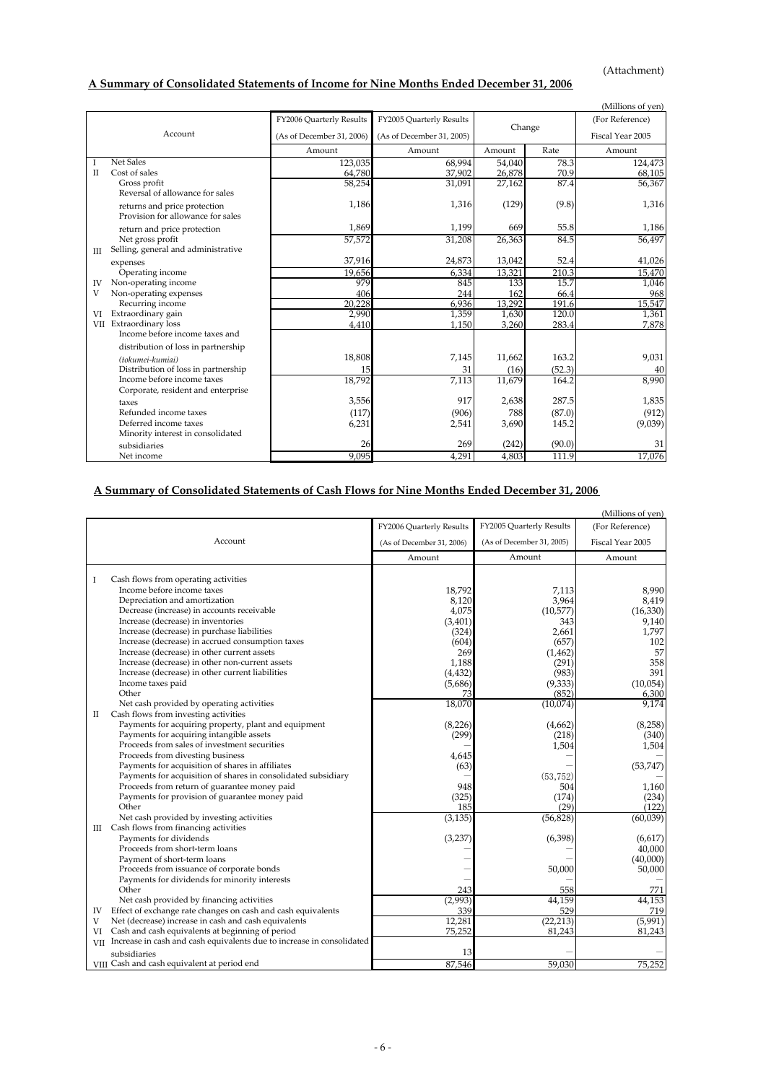# **A Summary of Consolidated Statements of Income for Nine Months Ended December 31, 2006**

|              |                                     |                           |                           |        |        | (Millions of yen) |
|--------------|-------------------------------------|---------------------------|---------------------------|--------|--------|-------------------|
|              |                                     | FY2006 Quarterly Results  | FY2005 Quarterly Results  | Change |        | (For Reference)   |
| Account      |                                     | (As of December 31, 2006) | (As of December 31, 2005) |        |        | Fiscal Year 2005  |
|              |                                     | Amount                    | Amount                    | Amount | Rate   | Amount            |
| 1            | <b>Net Sales</b>                    | 123,035                   | 68,994                    | 54.040 | 78.3   | 124,473           |
| $\mathbf{I}$ | Cost of sales                       | 64,780                    | 37,902                    | 26,878 | 70.9   | 68,105            |
|              | Gross profit                        | 58,254                    | 31,091                    | 27,162 | 87.4   | 56,367            |
|              | Reversal of allowance for sales     |                           |                           |        |        |                   |
|              | returns and price protection        | 1,186                     | 1,316                     | (129)  | (9.8)  | 1,316             |
|              | Provision for allowance for sales   |                           |                           |        |        |                   |
|              | return and price protection         | 1,869                     | 1,199                     | 669    | 55.8   | 1,186             |
|              | Net gross profit                    | 57,572                    | 31,208                    | 26,363 | 84.5   | 56,497            |
| Ш            | Selling, general and administrative |                           |                           |        |        |                   |
|              | expenses                            | 37,916                    | 24,873                    | 13,042 | 52.4   | 41,026            |
|              | Operating income                    | 19,656                    | 6,334                     | 13,321 | 210.3  | 15,470            |
| IV           | Non-operating income                | 979                       | 845                       | 133    | 15.7   | 1,046             |
| V            | Non-operating expenses              | 406                       | 244                       | 162    | 66.4   | 968               |
|              | Recurring income                    | 20,228                    | 6,936                     | 13,292 | 191.6  | 15,547            |
| VI           | Extraordinary gain                  | 2,990                     | 1,359                     | 1,630  | 120.0  | 1,361             |
|              | VII Extraordinary loss              | 4,410                     | 1,150                     | 3,260  | 283.4  | 7,878             |
|              | Income before income taxes and      |                           |                           |        |        |                   |
|              | distribution of loss in partnership |                           |                           |        |        |                   |
|              | (tokumei-kumiai)                    | 18,808                    | 7,145                     | 11,662 | 163.2  | 9,031             |
|              | Distribution of loss in partnership | 15                        | 31                        | (16)   | (52.3) | 40                |
|              | Income before income taxes          | 18,792                    | 7,113                     | 11,679 | 164.2  | 8,990             |
|              | Corporate, resident and enterprise  |                           |                           |        |        |                   |
|              | taxes                               | 3,556                     | 917                       | 2,638  | 287.5  | 1,835             |
|              | Refunded income taxes               | (117)                     | (906)                     | 788    | (87.0) | (912)             |
|              | Deferred income taxes               | 6,231                     | 2,541                     | 3,690  | 145.2  | (9,039)           |
|              | Minority interest in consolidated   |                           |                           |        |        |                   |
|              | subsidiaries                        | 26                        | 269                       | (242)  | (90.0) | 31                |
|              | Net income                          | 9.095                     | 4,291                     | 4,803  | 111.9  | 17,076            |

# **A Summary of Consolidated Statements of Cash Flows for Nine Months Ended December 31, 2006**

|     |                                                                                  |                           |                           | (Millions of yen) |
|-----|----------------------------------------------------------------------------------|---------------------------|---------------------------|-------------------|
|     |                                                                                  | FY2006 Quarterly Results  | FY2005 Quarterly Results  | (For Reference)   |
|     | Account                                                                          | (As of December 31, 2006) | (As of December 31, 2005) | Fiscal Year 2005  |
|     |                                                                                  | Amount                    | Amount                    | Amount            |
|     |                                                                                  |                           |                           |                   |
| Ι   | Cash flows from operating activities<br>Income before income taxes               |                           |                           |                   |
|     | Depreciation and amortization                                                    | 18,792                    | 7,113                     | 8.990             |
|     |                                                                                  | 8,120                     | 3,964                     | 8,419             |
|     | Decrease (increase) in accounts receivable<br>Increase (decrease) in inventories | 4,075                     | (10,577)<br>343           | (16,330)          |
|     | Increase (decrease) in purchase liabilities                                      | (3, 401)<br>(324)         | 2.661                     | 9,140<br>1,797    |
|     | Increase (decrease) in accrued consumption taxes                                 | (604)                     | (657)                     | 102               |
|     | Increase (decrease) in other current assets                                      | 269                       |                           | 57                |
|     | Increase (decrease) in other non-current assets                                  | 1,188                     | (1, 462)<br>(291)         | 358               |
|     | Increase (decrease) in other current liabilities                                 | (4, 432)                  | (983)                     | 391               |
|     | Income taxes paid                                                                | (5,686)                   | (9, 333)                  | (10,054)          |
|     | Other                                                                            | 73                        | (852)                     | 6,300             |
|     | Net cash provided by operating activities                                        | 18,070                    | (10,074)                  | 9,174             |
| П   | Cash flows from investing activities                                             |                           |                           |                   |
|     | Payments for acquiring property, plant and equipment                             | (8,226)                   | (4,662)                   | (8,258)           |
|     | Payments for acquiring intangible assets                                         | (299)                     | (218)                     | (340)             |
|     | Proceeds from sales of investment securities                                     |                           | 1,504                     | 1,504             |
|     | Proceeds from divesting business                                                 | 4,645                     |                           |                   |
|     | Payments for acquisition of shares in affiliates                                 | (63)                      |                           | (53,747)          |
|     | Payments for acquisition of shares in consolidated subsidiary                    |                           | (53, 752)                 |                   |
|     | Proceeds from return of guarantee money paid                                     | 948                       | 504                       | 1,160             |
|     | Payments for provision of guarantee money paid                                   | (325)                     | (174)                     | (234)             |
|     | Other                                                                            | 185                       | (29)                      | (122)             |
|     | Net cash provided by investing activities                                        | (3, 135)                  | (56, 828)                 | (60,039)          |
|     | III Cash flows from financing activities                                         |                           |                           |                   |
|     | Payments for dividends                                                           | (3, 237)                  | (6,398)                   | (6,617)           |
|     | Proceeds from short-term loans                                                   |                           |                           | 40,000            |
|     | Payment of short-term loans                                                      |                           |                           | (40,000)          |
|     | Proceeds from issuance of corporate bonds                                        |                           | 50,000                    | 50,000            |
|     | Payments for dividends for minority interests                                    |                           |                           |                   |
|     | Other                                                                            | 243                       | 558                       | 771               |
|     | Net cash provided by financing activities                                        | (2,993)                   | 44,159                    | 44,153            |
| IV  | Effect of exchange rate changes on cash and cash equivalents                     | 339                       | 529                       | 719               |
| V   | Net (decrease) increase in cash and cash equivalents                             | 12,281                    | (22, 213)                 | (5,991)           |
| VI  | Cash and cash equivalents at beginning of period                                 | 75,252                    | 81,243                    | 81,243            |
| VII | Increase in cash and cash equivalents due to increase in consolidated            |                           |                           |                   |
|     | subsidiaries                                                                     | 13                        |                           |                   |
|     | VIII Cash and cash equivalent at period end                                      | 87.546                    | 59.030                    | 75,252            |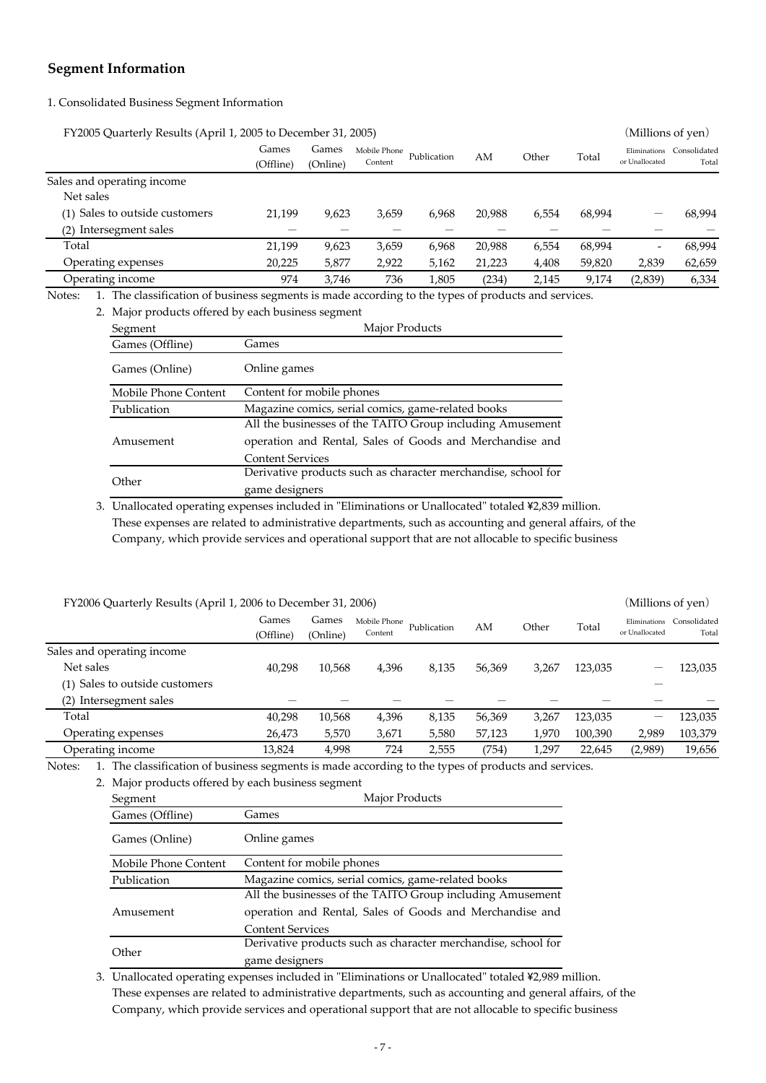# **Segment Information**

# 1. Consolidated Business Segment Information

| FY2005 Quarterly Results (April 1, 2005 to December 31, 2005)                                                 |                    |                   |                         |             |        |       |        | (Millions of yen) |                                    |
|---------------------------------------------------------------------------------------------------------------|--------------------|-------------------|-------------------------|-------------|--------|-------|--------|-------------------|------------------------------------|
|                                                                                                               | Games<br>(Offline) | Games<br>(Online) | Mobile Phone<br>Content | Publication | AM     | Other | Total  | or Unallocated    | Eliminations Consolidated<br>Total |
| Sales and operating income                                                                                    |                    |                   |                         |             |        |       |        |                   |                                    |
| Net sales                                                                                                     |                    |                   |                         |             |        |       |        |                   |                                    |
| (1) Sales to outside customers                                                                                | 21.199             | 9,623             | 3,659                   | 6.968       | 20,988 | 6,554 | 68,994 |                   | 68,994                             |
| Intersegment sales<br>(2)                                                                                     |                    |                   |                         |             |        |       |        |                   |                                    |
| Total                                                                                                         | 21.199             | 9.623             | 3,659                   | 6.968       | 20,988 | 6,554 | 68,994 | -                 | 68,994                             |
| Operating expenses                                                                                            | 20,225             | 5,877             | 2,922                   | 5,162       | 21,223 | 4,408 | 59,820 | 2,839             | 62,659                             |
| Operating income                                                                                              | 974                | 3.746             | 736                     | 1,805       | (234)  | 2.145 | 9.174  | (2,839)           | 6,334                              |
| 1. The classification of business segments is made according to the types of products and services.<br>Notes: |                    |                   |                         |             |        |       |        |                   |                                    |
| 2. Major products offered by each business segment                                                            |                    |                   |                         |             |        |       |        |                   |                                    |

|                      | <u><i>RESPONDED OFFICIALLY CALLED HOLICSS SUBJECTIVE</i></u>  |  |  |  |  |
|----------------------|---------------------------------------------------------------|--|--|--|--|
| Segment              | Major Products                                                |  |  |  |  |
| Games (Offline)      | Games                                                         |  |  |  |  |
| Games (Online)       | Online games                                                  |  |  |  |  |
| Mobile Phone Content | Content for mobile phones                                     |  |  |  |  |
| Publication          | Magazine comics, serial comics, game-related books            |  |  |  |  |
|                      | All the businesses of the TAITO Group including Amusement     |  |  |  |  |
| Amusement            | operation and Rental, Sales of Goods and Merchandise and      |  |  |  |  |
|                      | <b>Content Services</b>                                       |  |  |  |  |
| Other                | Derivative products such as character merchandise, school for |  |  |  |  |
|                      | game designers                                                |  |  |  |  |

3. Unallocated operating expenses included in "Eliminations or Unallocated" totaled ¥2,839 million. These expenses are related to administrative departments, such as accounting and general affairs, of the Company, which provide services and operational support that are not allocable to specific business

| FY2006 Quarterly Results (April 1, 2006 to December 31, 2006) |                   |         |             |              |       |         | (Millions of yen)              |                       |  |
|---------------------------------------------------------------|-------------------|---------|-------------|--------------|-------|---------|--------------------------------|-----------------------|--|
| Games<br>(Offline)                                            | Games<br>(Online) | Content | Publication | AM           | Other | Total   | Eliminations<br>or Unallocated | Consolidated<br>Total |  |
|                                                               |                   |         |             |              |       |         |                                |                       |  |
| 40,298                                                        | 10,568            | 4,396   | 8,135       | 56,369       | 3,267 | 123,035 |                                | 123,035               |  |
|                                                               |                   |         |             |              |       |         |                                |                       |  |
|                                                               |                   |         |             |              |       |         |                                |                       |  |
| 40,298                                                        | 10,568            | 4,396   | 8,135       | 56,369       | 3,267 | 123,035 | —                              | 123,035               |  |
| 26,473                                                        | 5,570             | 3,671   | 5,580       | 57,123       | 1.970 | 100,390 | 2.989                          | 103,379               |  |
| 13,824                                                        | 4,998             | 724     | 2,555       | (754)        | 1,297 | 22,645  | (2,989)                        | 19,656                |  |
|                                                               |                   |         |             | Mobile Phone |       |         |                                |                       |  |

Notes: 1. The classification of business segments is made according to the types of products and services.

|  | 2. Major products offered by each business segment |  |  |  |
|--|----------------------------------------------------|--|--|--|
|  |                                                    |  |  |  |

| Segment              | Major Products                                                |  |  |  |  |
|----------------------|---------------------------------------------------------------|--|--|--|--|
| Games (Offline)      | Games                                                         |  |  |  |  |
| Games (Online)       | Online games                                                  |  |  |  |  |
| Mobile Phone Content | Content for mobile phones                                     |  |  |  |  |
| Publication          | Magazine comics, serial comics, game-related books            |  |  |  |  |
|                      | All the businesses of the TAITO Group including Amusement     |  |  |  |  |
| Amusement            | operation and Rental, Sales of Goods and Merchandise and      |  |  |  |  |
|                      | <b>Content Services</b>                                       |  |  |  |  |
|                      | Derivative products such as character merchandise, school for |  |  |  |  |
| Other                | game designers                                                |  |  |  |  |

3. Unallocated operating expenses included in "Eliminations or Unallocated" totaled ¥2,989 million. These expenses are related to administrative departments, such as accounting and general affairs, of the Company, which provide services and operational support that are not allocable to specific business